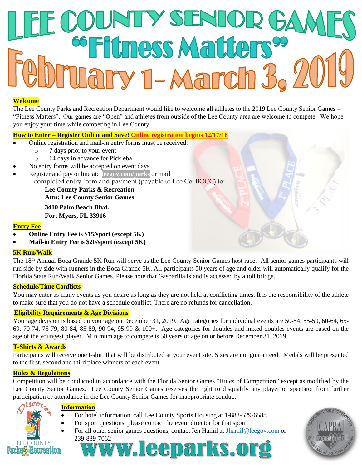# SENI **Etness Matter** lary 1-March 3,

### **Welcome**

The Lee County Parks and Recreation Department would like to welcome all athletes to the 2019 Lee County Senior Games – "Fitness Matters". Our games are "Open" and athletes from outside of the Lee County area are welcome to compete. We hope you enjoy your time while competing in Lee County.

## **How to Enter – Register Online and Save! Online registration begins 12/17/18**

- Online registration and mail-in entry forms must be received:
	- o **7** days prior to your event
	- o **14** days in advance for Pickleball
- No entry forms will be accepted on event days
- Register and pay online at: **leegov.com/parks** or mail
	- completed entry form and payment (payable to Lee Co. BOCC) to**:**

**Lee County Parks & Recreation Attn: Lee County Senior Games**

**3410 Palm Beach Blvd. Fort Myers, FL 33916**

### **Entry Fee**

- **Online Entry Fee is \$15/sport (except 5K)**
- **Mail-in Entry Fee is \$20/sport (except 5K)**

### **5K Run/Walk**

The 18<sup>th</sup> Annual Boca Grande 5K Run will serve as the Lee County Senior Games host race. All senior games participants will run side by side with runners in the Boca Grande 5K. All participants 50 years of age and older will automatically qualify for the Florida State Run/Walk Senior Games. Please note that Gasparilla Island is accessed by a toll bridge.

### **Schedule/Time Conflicts**

You may enter as many events as you desire as long as they are not held at conflicting times. It is the responsibility of the athlete to make sure that you do not have a schedule conflict. There are no refunds for cancellation.

### **Eligibility Requirements & Age Divisions**

Your age division is based on your age on December 31, 2019. Age categories for individual events are 50-54, 55-59, 60-64, 65- 69, 70-74, 75-79, 80-84, 85-89, 90-94, 95-99 & 100+. Age categories for doubles and mixed doubles events are based on the age of the youngest player. Minimum age to compete is 50 years of age on or before December 31, 2019.

### **T-Shirts & Awards**

Participants will receive one t-shirt that will be distributed at your event site. Sizes are not guaranteed. Medals will be presented to the first, second and third place winners of each event.

### **Rules & Regulations**

Competition will be conducted in accordance with the Florida Senior Games "Rules of Competition" except as modified by the Lee County Senior Games. Lee County Senior Games reserves the right to disqualify any player or spectator from further participation or attendance in the Lee County Senior Games for inappropriate conduct.

**Information**

- For hotel information, call Lee County Sports Housing at 1-888-529-6588
- For sport questions, please contact the event director for that sport
- For all other senior games questions, contact Jen Hamil at [Jhamil@leegov.com](mailto:Jhamil@leegov.com) or



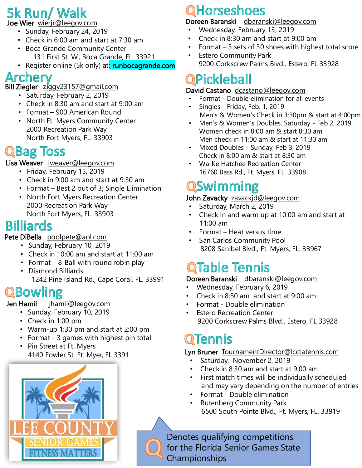# 5k Run/ Walk

Joe Wier wierjr@leegov.com

- Sunday, February 24, 2019
- Check in 6:00 am and start at 7:30 am
- Boca Grande Community Center 131 First St. W., Boca Grande, FL. 33921
- Register online (5k only) at: runbocagrande.com

# Archerv

Bill Ziegler ziggy23157@gmail.com

- Saturday, February 2, 2019
- Check in 8:30 am and start at 9:00 am
- Format 900 American Round
- North Ft. Myers Community Center 2000 Recreation Park Way North Fort Myers, FL. 33903

## QBag **Toss**

Lisa Weaver Iweaver@leegov.com

- Friday, February 15, 2019
- Check in 9:00 am and start at 9:30 am
- Format Best 2 out of 3; Single Elimination
- North Fort Myers Recreation Center 2000 Recreation Park Way North Fort Myers, FL. 33903

# **Billiards**

## Pete DiBella poolpete@aol.com

- Sunday, February 10, 2019
- Check in 10:00 am and start at 11:00 am
- Format 8-Ball with round robin play
- Diamond Billiards
	- 1242 Pine Island Rd., Cape Coral, FL. 33991

# QBowling

Jen Hamil jhamil@leegov.com

- Sunday, February 10, 2019
- Check in 1:00 pm
- Warm-up 1:30 pm and start at 2:00 pm
- Format 3 games with highest pin total
- Pin Street at Ft. Myers 4140 Fowler St. Ft. Myer, FL 3391



# QHorseshoes

## Doreen Baranski dbaranski@leegov.com

- Wednesday, February 13, 2019
- Check in 8:30 am and start at 9:00 am
- Format 3 sets of 30 shoes with highest total score
- Estero Community Park 9200 Corkscrew Palms Blvd., Estero, FL 33928

# QPickleball

## David Castano dcastano@leegov.com

- Format Double elimination for all events
- Singles Friday, Feb. 1, 2019 Men's & Women's Check in 3:30pm & start at 4:00pm
- Men's & Women's Doubles, Saturday Feb 2, 2019 Women check in 8:00 am & start 8:30 am Men check in 11:00 am & start at 11:30 am
- Mixed Doubles Sunday, Feb 3, 2019 Check in 8:00 am & start at 8:30 am
- Wa-Ke Hatchee Recreation Center 16760 Bass Rd., Ft. Myers, FL. 33908

# QSwimming

## John Zavacky zavackjd@leegov.com

- Saturday, March 2, 2019
- Check in and warm up at 10:00 am and start at 11:00 am
- Format Heat versus time
- San Carlos Community Pool 8208 Sanibel Blvd., Ft. Myers, FL. 33967

# **QTable Tennis**

## Doreen Baranski dbaranski@leegov.com

- Wednesday, February 6, 2019
- Check in 8:30 am and start at 9:00 am
- Format Double elimination
- **Estero Recreation Center** 9200 Corkscrew Palms Blvd., Estero, FL 33928

# **QTennis**

## Lyn Bruner TournamentDirector@lcctatennis.com

- Saturday, November 2, 2019
- Check in 8:30 am and start at 9:00 am
- First match times will be individually scheduled and may vary depending on the number of entries
- Format Double elimination
- Rutenberg Community Park 6500 South Pointe Blvd., Ft. Myers, FL. 33919

Denotes qualifying competitions for the Florida Senior Games State Championships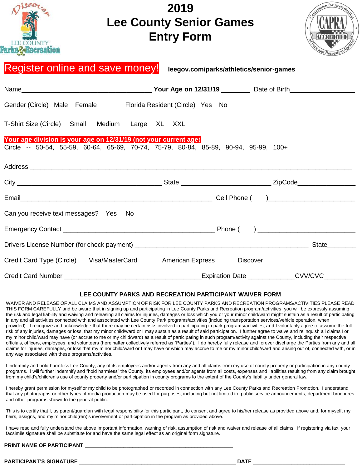| 1200r<br><b>LEE COUNTY</b><br>arks&&Becreation                                                                                                           | 2019<br><b>Lee County Senior Games</b><br><b>Entry Form</b> |                               | ission for Accredit |
|----------------------------------------------------------------------------------------------------------------------------------------------------------|-------------------------------------------------------------|-------------------------------|---------------------|
| Register online and save money! leegov.com/parks/athletics/senior-games                                                                                  |                                                             |                               |                     |
|                                                                                                                                                          |                                                             |                               |                     |
| Gender (Circle) Male Female Florida Resident (Circle) Yes No                                                                                             |                                                             |                               |                     |
| T-Shirt Size (Circle) Small Medium Large XL XXL                                                                                                          |                                                             |                               |                     |
| Your age division is your age on 12/31/19 (not your current age)<br>Circle -- 50-54, 55-59, 60-64, 65-69, 70-74, 75-79, 80-84, 85-89, 90-94, 95-99, 100+ |                                                             |                               |                     |
|                                                                                                                                                          |                                                             |                               |                     |
|                                                                                                                                                          |                                                             |                               |                     |
| Can you receive text messages? Yes No                                                                                                                    |                                                             |                               |                     |
|                                                                                                                                                          |                                                             |                               |                     |
|                                                                                                                                                          |                                                             |                               |                     |
| Credit Card Type (Circle) Visa/MasterCard American Express                                                                                               |                                                             | <b>Discover</b>               |                     |
| <b>Credit Card Number</b>                                                                                                                                |                                                             | Expiration Date <b>Lation</b> | <b>CVV/CVC</b>      |

#### **LEE COUNTY PARKS AND RECREATION PARTICIPANT WAIVER FORM**

WAIVER AND RELEASE OF ALL CLAIMS AND ASSUMPTION OF RISK FOR LEE COUNTY PARKS AND RECREATION PROGRAMS/ACTIVITIES PLEASE READ THIS FORM CAREFULLY and be aware that in signing up and participating in Lee County Parks and Recreation program/activities, you will be expressly assuming the risk and legal liability and waiving and releasing all claims for injuries, damages or loss which you or your minor child/ward might sustain as a result of participating in any and all activities connected with and associated with Lee County Park programs/activities (including transportation services/vehicle operation, when provided). I recognize and acknowledge that there may be certain risks involved in participating in park programs/activities, and I voluntarily agree to assume the full risk of any injuries, damages or loss, that my minor child/ward or I may sustain as a result of said participation. I further agree to waive and relinquish all claims I or my minor child/ward may have (or accrue to me or my child/ward) as a result of participating in such program/activity against the County, including their respective officials, officers, employees, and volunteers (hereinafter collectively referred as "Parties"). I do hereby fully release and forever discharge the Parties from any and all claims for injuries, damages, or loss that my minor child/ward or I may have or which may accrue to me or my minor child/ward and arising out of, connected with, or in any way associated with these programs/activities.

I indemnify and hold harmless Lee County, any of its employees and/or agents from any and all claims from my use of county property or participation in any county programs. I will further indemnify and "hold harmless" the County, its employees and/or agents from all costs, expenses and liabilities resulting from any claim brought from my child's/children's use of county property and/or participation in county programs to the extent of the County's liability under general law.

I hereby grant permission for myself or my child to be photographed or recorded in connection with any Lee County Parks and Recreation Promotion. I understand that any photographs or other types of media production may be used for purposes, including but not limited to, public service announcements, department brochures, and other programs shown to the general public.

This is to certify that I, as parent/guardian with legal responsibility for this participant, do consent and agree to his/her release as provided above and, for myself, my heirs, assigns, and my minor child(ren)'s involvement or participation in the program as provided above.

I have read and fully understand the above important information, warning of risk, assumption of risk and waiver and release of all claims. If registering via fax, your facsimile signature shall be substitute for and have the same legal effect as an original form signature.

### **PRINT NAME OF PARTICIPANT**

#### **PARTICIPANT'S SIGNATURE \_\_\_\_\_\_\_\_\_\_\_\_\_\_\_\_\_\_\_\_\_\_\_\_\_\_\_\_\_\_\_\_\_\_\_\_\_\_\_\_\_\_\_\_\_\_\_\_\_\_\_\_\_ DATE \_\_\_\_\_\_\_\_\_\_\_\_\_\_\_\_\_\_\_\_\_\_\_\_\_\_\_\_\_\_\_**